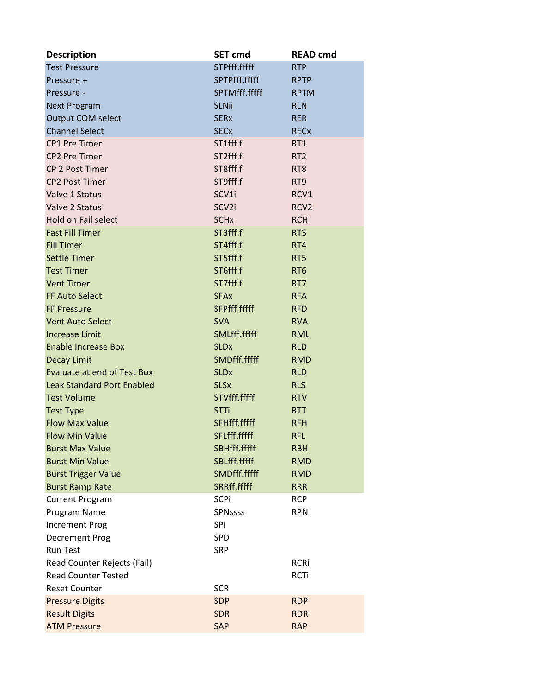| <b>Description</b>                 | <b>SET cmd</b>         | <b>READ cmd</b>  |
|------------------------------------|------------------------|------------------|
| <b>Test Pressure</b>               | STPfff.fffff           | <b>RTP</b>       |
| Pressure +                         | SPTPfff.fffff          | <b>RPTP</b>      |
| Pressure -                         | SPTMfff.fffff          | <b>RPTM</b>      |
| <b>Next Program</b>                | <b>SLNii</b>           | <b>RLN</b>       |
| Output COM select                  | <b>SERx</b>            | <b>RER</b>       |
| <b>Channel Select</b>              | <b>SEC<sub>x</sub></b> | <b>RECx</b>      |
| <b>CP1 Pre Timer</b>               | ST1fff.f               | RT1              |
| <b>CP2 Pre Timer</b>               | ST2fff.f               | RT <sub>2</sub>  |
| <b>CP 2 Post Timer</b>             | ST8fff.f               | RT <sub>8</sub>  |
| <b>CP2 Post Timer</b>              | ST9fff.f               | RT <sub>9</sub>  |
| Valve 1 Status                     | SCV1i                  | RCV1             |
| Valve 2 Status                     | SCV2i                  | RCV <sub>2</sub> |
| <b>Hold on Fail select</b>         | <b>SCH<sub>x</sub></b> | <b>RCH</b>       |
| <b>Fast Fill Timer</b>             | ST3fff.f               | RT <sub>3</sub>  |
| <b>Fill Timer</b>                  | ST4fff.f               | RT4              |
| <b>Settle Timer</b>                | ST5fff.f               | RT5              |
| <b>Test Timer</b>                  | ST6fff.f               | RT <sub>6</sub>  |
| <b>Vent Timer</b>                  | ST7fff.f               | RT7              |
| <b>FF Auto Select</b>              | <b>SFAx</b>            | <b>RFA</b>       |
| <b>FF Pressure</b>                 | SFPfff.fffff           | <b>RFD</b>       |
| <b>Vent Auto Select</b>            | <b>SVA</b>             | <b>RVA</b>       |
| <b>Increase Limit</b>              | SMLfff.fffff           | <b>RML</b>       |
| <b>Enable Increase Box</b>         | <b>SLDx</b>            | <b>RLD</b>       |
| <b>Decay Limit</b>                 | SMDfff.fffff           | <b>RMD</b>       |
| <b>Evaluate at end of Test Box</b> | <b>SLD<sub>x</sub></b> | <b>RLD</b>       |
| <b>Leak Standard Port Enabled</b>  | <b>SLSx</b>            | <b>RLS</b>       |
| <b>Test Volume</b>                 | STVfff.fffff           | <b>RTV</b>       |
| <b>Test Type</b>                   | <b>STTi</b>            | <b>RTT</b>       |
| <b>Flow Max Value</b>              | SFHfff.fffff           | <b>RFH</b>       |
| <b>Flow Min Value</b>              | SFLfff.fffff           | <b>RFL</b>       |
| <b>Burst Max Value</b>             | SBHfff.fffff           | <b>RBH</b>       |
| <b>Burst Min Value</b>             | SBLfff.fffff           | <b>RMD</b>       |
| <b>Burst Trigger Value</b>         | SMDfff.fffff           | <b>RMD</b>       |
| <b>Burst Ramp Rate</b>             | SRRff.fffff            | <b>RRR</b>       |
| <b>Current Program</b>             | <b>SCPi</b>            | <b>RCP</b>       |
| Program Name                       | <b>SPNssss</b>         | <b>RPN</b>       |
| <b>Increment Prog</b>              | <b>SPI</b>             |                  |
| <b>Decrement Prog</b>              | SPD                    |                  |
| <b>Run Test</b>                    | <b>SRP</b>             |                  |
| Read Counter Rejects (Fail)        |                        | <b>RCRi</b>      |
| <b>Read Counter Tested</b>         |                        | <b>RCTi</b>      |
| <b>Reset Counter</b>               | <b>SCR</b>             |                  |
| <b>Pressure Digits</b>             | <b>SDP</b>             | <b>RDP</b>       |
| <b>Result Digits</b>               | <b>SDR</b>             | <b>RDR</b>       |
| <b>ATM Pressure</b>                | SAP                    | <b>RAP</b>       |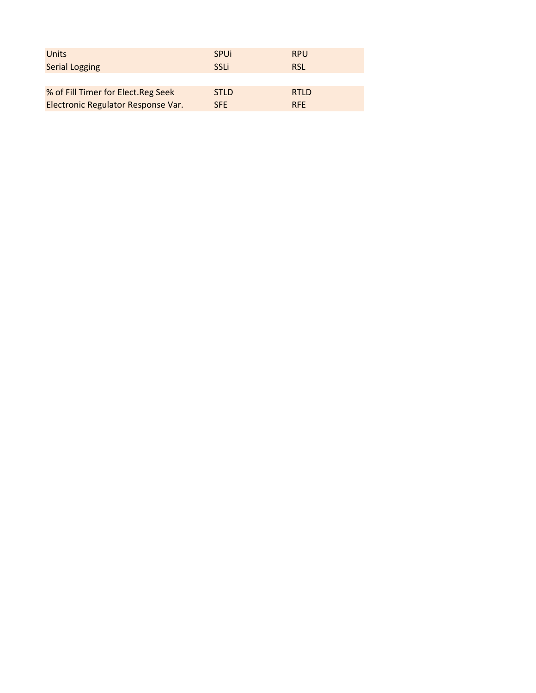| Units                              | <b>SPUI</b> | <b>RPU</b>  |
|------------------------------------|-------------|-------------|
| <b>Serial Logging</b>              | SSLi        | <b>RSL</b>  |
|                                    |             |             |
| % of Fill Timer for Elect.Reg Seek | <b>STLD</b> | <b>RTLD</b> |
| Electronic Regulator Response Var. | <b>SFE</b>  | <b>RFF</b>  |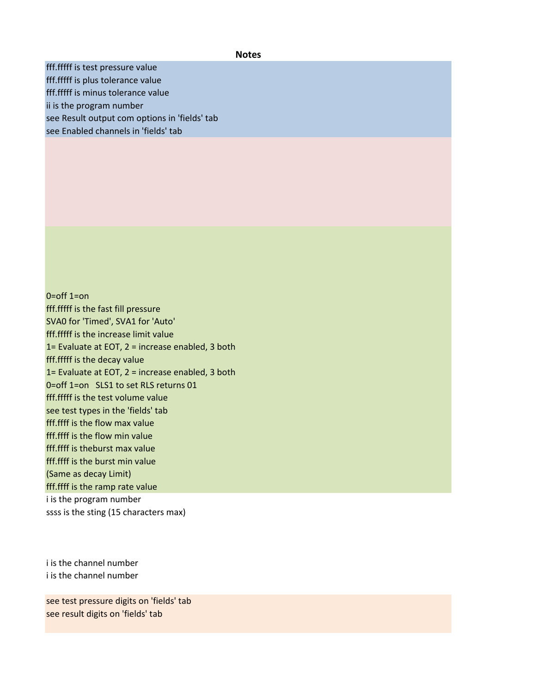## **Notes**

fff.fffff is test pressure value fff.fffff is plus tolerance value fff.fffff is minus tolerance value ii is the program number see Result output com options in 'fields' tab see Enabled channels in 'fields' tab

0=off 1=on fff.fffff is the fast fill pressure SVA0 for 'Timed', SVA1 for 'Auto' fff.fffff is the increase limit value 1= Evaluate at EOT, 2 = increase enabled, 3 both fff.fffff is the decay value 1= Evaluate at EOT, 2 = increase enabled, 3 both 0=off 1=on SLS1 to set RLS returns 01 fff.fffff is the test volume value see test types in the 'fields' tab fff.ffff is the flow max value fff.ffff is the flow min value fff.ffff is theburst max value fff.ffff is the burst min value (Same as decay Limit) fff.ffff is the ramp rate value i is the program number ssss is the sting (15 characters max)

i is the channel number i is the channel number

see test pressure digits on 'fields' tab see result digits on 'fields' tab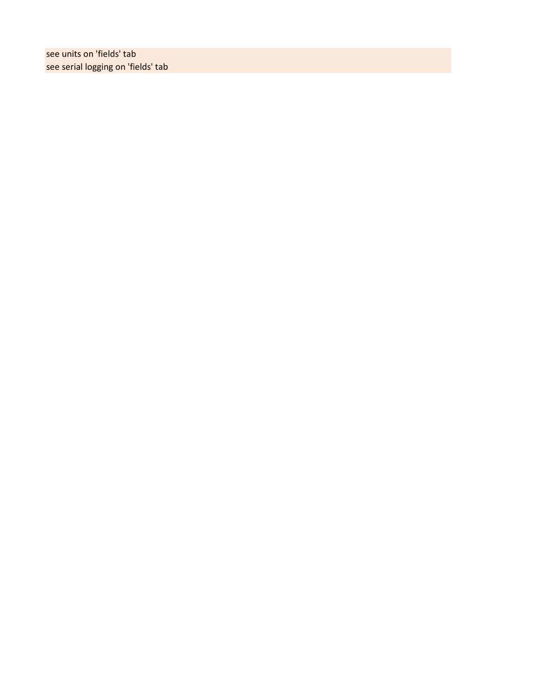see units on 'fields' tab see serial logging on 'fields' tab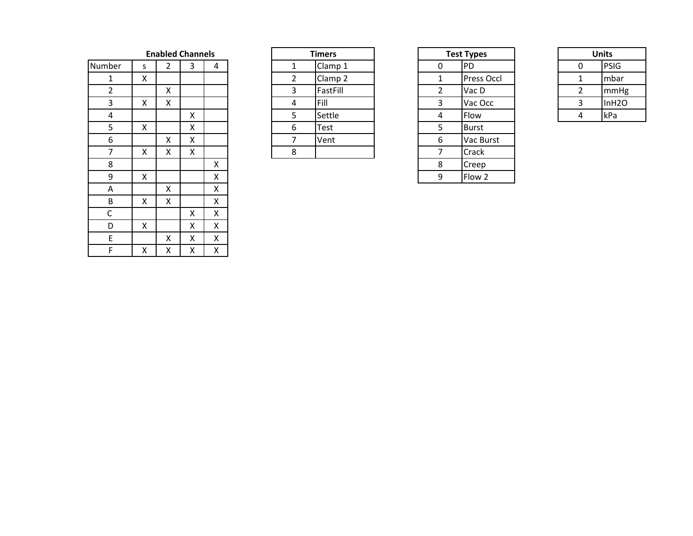**Enabled Channels** 

| Number      | S | $\overline{2}$ | 3 | 4 |
|-------------|---|----------------|---|---|
| $\mathbf 1$ | X |                |   |   |
| 2           |   | X              |   |   |
| 3           | X | X              |   |   |
| 4           |   |                | X |   |
| 5           | X |                | X |   |
| 6           |   | X              | X |   |
| 7           | X | Χ              | Χ |   |
| 8           |   |                |   | X |
| 9           | X |                |   | X |
| A           |   | X              |   | X |
| B           | X | X              |   | X |
| C           |   |                | Χ | X |
| D           | X |                | X | X |
| E           |   | X              | X | X |
| F           | X | X              | X | X |

| <b>Timers</b>           |          |  |  |  |
|-------------------------|----------|--|--|--|
| Clamp 1<br>1            |          |  |  |  |
| Clamp <sub>2</sub><br>2 |          |  |  |  |
| 3                       | FastFill |  |  |  |
| 4                       | Fill     |  |  |  |
| 5                       | Settle   |  |  |  |
| 6                       | Test     |  |  |  |
|                         | Vent     |  |  |  |
|                         |          |  |  |  |

| <b>Test Types</b> |              |  |  |  |  |
|-------------------|--------------|--|--|--|--|
| 0                 | PD           |  |  |  |  |
| 1                 | Press Occl   |  |  |  |  |
| 2                 | Vac D        |  |  |  |  |
| 3                 | Vac Occ      |  |  |  |  |
| 4                 | Flow         |  |  |  |  |
| 5                 | <b>Burst</b> |  |  |  |  |
| 6                 | Vac Burst    |  |  |  |  |
| 7                 | Crack        |  |  |  |  |
| 8                 | Creep        |  |  |  |  |
| q                 | Flow 2       |  |  |  |  |

| Units        |                   |  |  |  |  |
|--------------|-------------------|--|--|--|--|
| $\mathbf{0}$ | PSIG              |  |  |  |  |
| 1            | mbar              |  |  |  |  |
| 2            | mmHg              |  |  |  |  |
| ς            | InH <sub>20</sub> |  |  |  |  |
|              | kPa               |  |  |  |  |